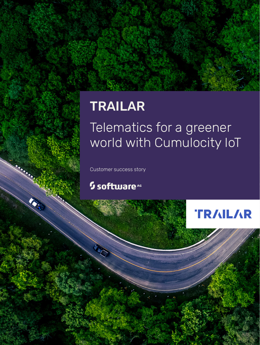# TRAILAR

## Telematics for a greener world with Cumulocity IoT

Customer success story

## <sup>5</sup> software<sup>46</sup>

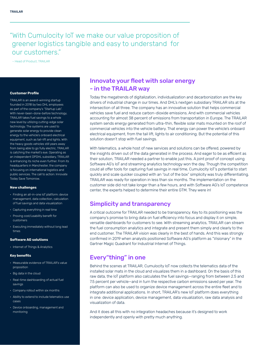## "With Cumulocity IoT we make our value proposition of greener logistics tangible and easy to understand for our customers."

– Head of Product, TRAILAR

#### **Customer Profile**

TRAILAR is an award-winning startup founded in 2018 by two DHL employees as part of the company's "Startup Lab". With never-been-done-before technology, TRAILAR takes fuel savings to a whole new level by utilizing cutting-edge solar technology. The systems are used to generate solar energy to provide clean energy to the vehicle's onboard electrical equipment, such as tail-lift and lights. With the heavy goods vehicles still years away from being able to go fully electric, TRAILAR is catching the market's eye. Operating as an independent DPDHL subsidiary, TRAILAR is enhancing its niche even further. From its headquarters in Manchester, the company is focusing on international logistics and public services. The call to action: Innovate Today Save Tomorrow.

#### **New challenges**

- Finding an all-in-one IoT platform: device management, data collection, calculation of fuel savings and data visualization
- Capturing everything in real time
- Proving cost/usability benefit for customers
- Executing immediately without long lead times

#### **Software AG solutions**

• Internet of Things & Analytics

#### **Key benefits**

- Measurable evidence of TRAILAR's value proposition
- Big data in the cloud
- Real-time dashboarding of actual fuel savings
- Company rollout within six months
- Ability to extend to include telematics use cases
- Device onboarding, management and monitoring

## Innovate your fleet with solar energy - in the TRAILAR way

Today the megatrends of digitalization, individualization and decarbonization are the key drivers of industrial change in our times. And DHL's nextgen subsidiary TRAILAR sits at the intersection of all three. The company has an innovative solution that helps commercial vehicles save fuel and reduce carbon-dioxide emissions. And with commercial vehicles accounting for almost 38 percent of emissions from transportation in Europe. The TRAILAR system sends energy generated from ultra-thin, flexible solar mats mounted on the roof of commercial vehicles into the vehicle battery. That energy can power the vehicle's onboard electrical equipment, from the tail lift, lights to air conditioning. But the potential of this solution doesn't stop with fuel savings.

With telematics, a whole host of new services and solutions can be offered, powered by the insights driven out of the data generated in the process. And eager to be as efficient as their solution, TRAILAR needed a partner to enable just this. A joint proof of concept using Software AG's IoT and streaming analytics technology won the day. Though the competition could all offer tools for capturing fuel savings in real time, Cumulocity IoT's potential to start quickly and scale quicker coupled with an "out of the box" simplicity was truly differentiating. TRAILAR was ready for operation in less than six months. The implementation on the customer side did not take longer than a few hours, and with Software AG's IoT competence center, the experts helped to determine their entire GTM. They were in!

### Simplicity and transparency

A critical outcome for TRAILAR needed to be transparency. Key to its positioning was the company's promise to bring data on fuel efficiency into focus and display it on simple, versatile dashboards for customers to see. With streaming analytics, TRAILAR can stream the fuel consumption analytics and integrate and present them simply and clearly to the end customer. The TRAILAR vision was clearly in the best of hands. And this was strongly confirmed in 2019 when analysts positioned Software AG's platform as "Visionary" in the Gartner Magic Quadrant for Industrial Internet of Things.

## Every"thing" in one

Behind the scenes at TRAILAR, Cumulocity IoT now collects the telematics data of the installed solar mats in the cloud and visualizes them in a dashboard. On the basis of this raw data, the IoT platform also calculates the fuel savings—ranging from between 2.5 and 7.5 percent per vehicle—and in turn the respective carbon emissions saved per year. The platform can also be used to organize device management across the entire fleet and to integrate additional applications. In short, TRAILAR's new IoT platform does everything in one: device application, device management, data visualization, raw data analysis and visualization of data.

And it does all this with no integration headaches because it's designed to work independently and openly with pretty much anything.